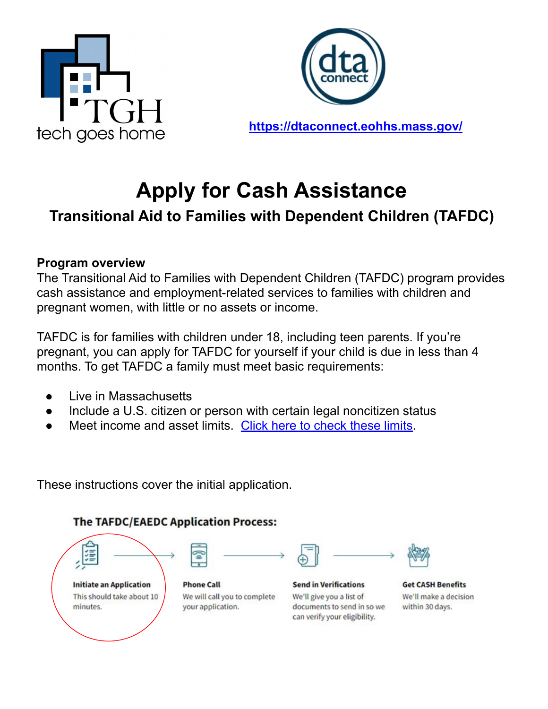



**<https://dtaconnect.eohhs.mass.gov/>**

# **Apply for Cash Assistance**

## **Transitional Aid to Families with Dependent Children (TAFDC)**

#### **Program overview**

The Transitional Aid to Families with Dependent Children (TAFDC) program provides cash assistance and employment-related services to families with children and pregnant women, with little or no assets or income.

TAFDC is for families with children under 18, including teen parents. If you're pregnant, you can apply for TAFDC for yourself if your child is due in less than 4 months. To get TAFDC a family must meet basic requirements:

- Live in Massachusetts
- Include a U.S. citizen or person with certain legal noncitizen status
- Meet income and asset limits. [Click here to check these limits](https://www.mass.gov/service-details/check-tafdc-eligibility-and-how-to-apply).

These instructions cover the initial application.

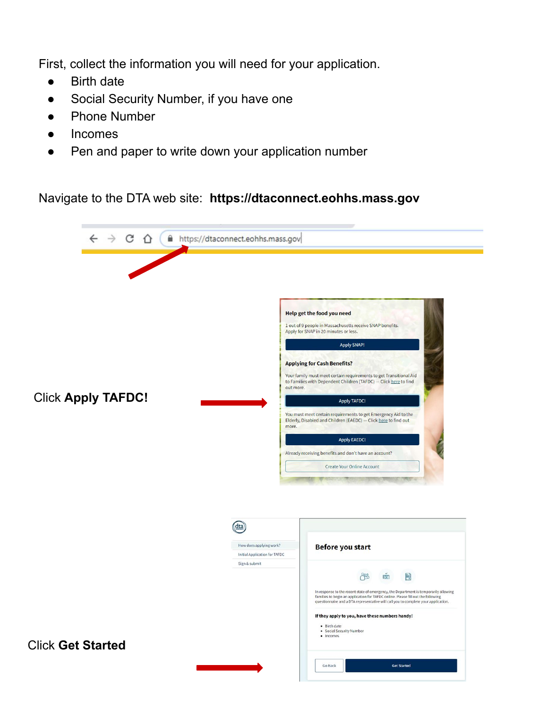First, collect the information you will need for your application.

- **Birth date**
- Social Security Number, if you have one
- **Phone Number**
- **Incomes**
- Pen and paper to write down your application number

Navigate to the DTA web site: **https://dtaconnect.eohhs.mass.gov**

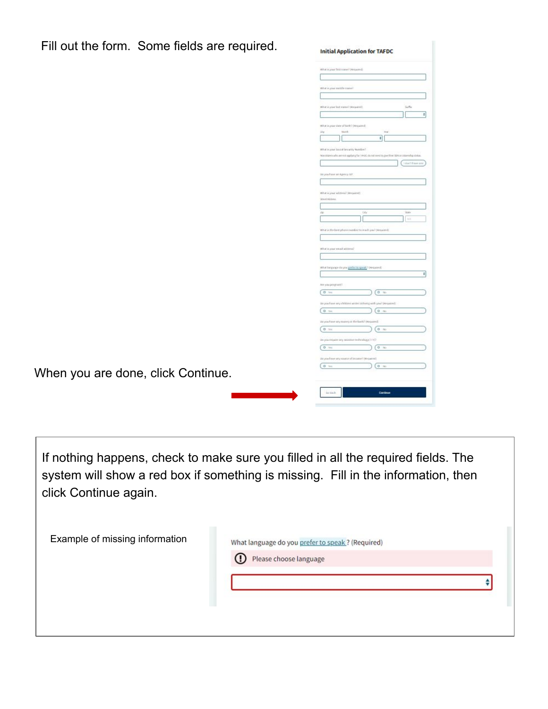| Fill out the form. Some fields are required. | <b>Initial Application for TAFDC</b>                                                            |
|----------------------------------------------|-------------------------------------------------------------------------------------------------|
|                                              | What is your first name? (Required)                                                             |
|                                              |                                                                                                 |
|                                              |                                                                                                 |
|                                              | What is your restate started                                                                    |
|                                              |                                                                                                 |
|                                              | Suffix<br>What is your last name? Hexage of I.                                                  |
|                                              | $\ddot{\ast}$                                                                                   |
|                                              | White is your time of birth! (Required)                                                         |
|                                              | $\bar{m}$<br>Month.<br><b>Year</b><br>$\Rightarrow$                                             |
|                                              |                                                                                                 |
|                                              | What is your Social Security Number?                                                            |
|                                              | Nonsidamentalin arrival applying for 14400, do not need to go in their SD1 on observing status. |
|                                              | shert have any                                                                                  |
|                                              | 39 you have an Agency 50                                                                        |
|                                              |                                                                                                 |
|                                              | What is your address? (Required)                                                                |
|                                              | <b>Janet Aldrey</b>                                                                             |
|                                              |                                                                                                 |
|                                              | $c_{\rm f}$<br>San<br>ziji.                                                                     |
|                                              | $14.6$                                                                                          |
|                                              | What is the best phone rander to much you! (measured)                                           |
|                                              |                                                                                                 |
|                                              | What is your result account?                                                                    |
|                                              |                                                                                                 |
|                                              | What language du you prefer to spiral, 7 (wepared)                                              |
|                                              | $\ddot{\ast}$                                                                                   |
|                                              |                                                                                                 |
|                                              | Are you program!<br>$a_{m}$                                                                     |
|                                              | 0.10                                                                                            |
|                                              | Veryon from any children ander 18 living with you? (Required)                                   |
|                                              | 0.74<br>0.76                                                                                    |
|                                              | ito you have any money in the bank? (Nequired)                                                  |
|                                              | (0.51)<br>0.16                                                                                  |
|                                              | 24 you request any activities technology(11Y)?                                                  |
|                                              | 0 mi<br>$0 - 16$                                                                                |
|                                              | do you have any source of income? (Wequined)                                                    |
|                                              | $\alpha$ in<br>0.10                                                                             |
| When you are done, click Continue.           |                                                                                                 |
|                                              |                                                                                                 |
|                                              | is ink<br>Continue                                                                              |
|                                              |                                                                                                 |

If nothing happens, check to make sure you filled in all the required fields. The system will show a red box if something is missing. Fill in the information, then click Continue again.

| Example of missing information | What language do you prefer to speak? (Required)<br><sup>1</sup> Please choose language |  |
|--------------------------------|-----------------------------------------------------------------------------------------|--|
|                                |                                                                                         |  |
|                                |                                                                                         |  |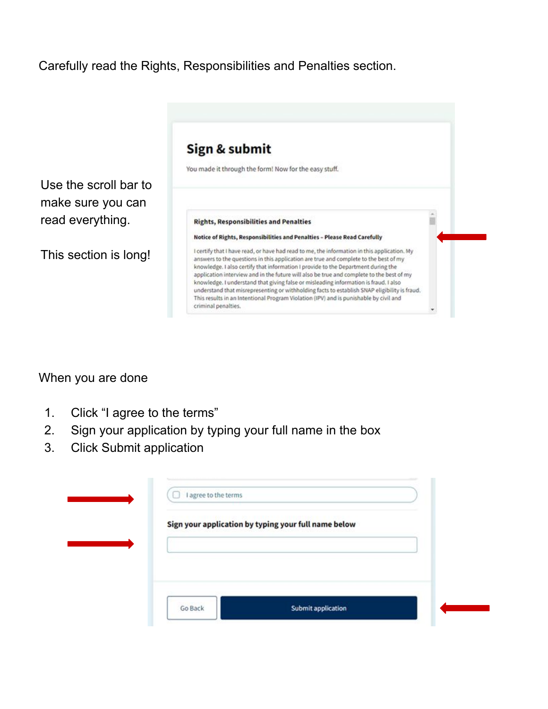#### Carefully read the Rights, Responsibilities and Penalties section.



#### When you are done

- 1. Click "I agree to the terms"
- 2. Sign your application by typing your full name in the box
- 3. Click Submit application

| Sign your application by typing your full name below |  |
|------------------------------------------------------|--|
|                                                      |  |
|                                                      |  |
|                                                      |  |